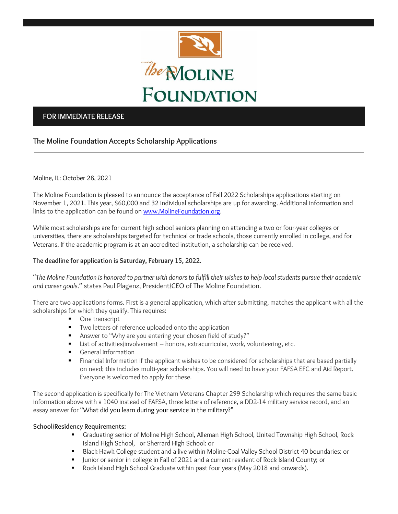

## **FOR IMMEDIATE RELEASE**

# **The Moline Foundation Accepts Scholarship Applications**

## Moline, IL: October 28, 2021

The Moline Foundation is pleased to announce the acceptance of Fall 2022 Scholarships applications starting on November 1, 2021. This year, \$60,000 and 32 individual scholarships are up for awarding. Additional information and links to the application can be found o[n www.MolineFoundation.org.](http://www.molinefoundation.org/)

While most scholarships are for current high school seniors planning on attending a two or four-year colleges or universities, there are scholarships targeted for technical or trade schools, those currently enrolled in college, and for Veterans. If the academic program is at an accredited institution, a scholarship can be received.

## **The deadline for application is Saturday, February 15, 2022.**

"*The Moline Foundation is honored to partner with donors to fulfill their wishes to help local students pursue their academic and career goals*." states Paul Plagenz, President/CEO of The Moline Foundation.

There are two applications forms. First is a general application, which after submitting, matches the applicant with all the scholarships for which they qualify. This requires:

- One transcript
- Two letters of reference uploaded onto the application
- Answer to "Why are you entering your chosen field of study?"
- List of activities/involvement honors, extracurricular, work, volunteering, etc.
- General Information
- Financial Information if the applicant wishes to be considered for scholarships that are based partially on need; this includes multi-year scholarships. You will need to have your FAFSA EFC and Aid Report. Everyone is welcomed to apply for these.

The second application is specifically for The Vietnam Veterans Chapter 299 Scholarship which requires the same basic information above with a 1040 instead of FAFSA, three letters of reference, a DD2-14 military service record, and an essay answer for "What did you learn during your service in the military?"

### **School/Residency Requirements:**

- Graduating senior of Moline High School, Alleman High School, United Township High School, Rock Island High School, or Sherrard High School: or
- Black Hawk College student and a live within Moline-Coal Valley School District 40 boundaries: or
- Junior or senior in college in Fall of 2021 and a current resident of Rock Island County; or
- Rock Island High School Graduate within past four years (May 2018 and onwards).